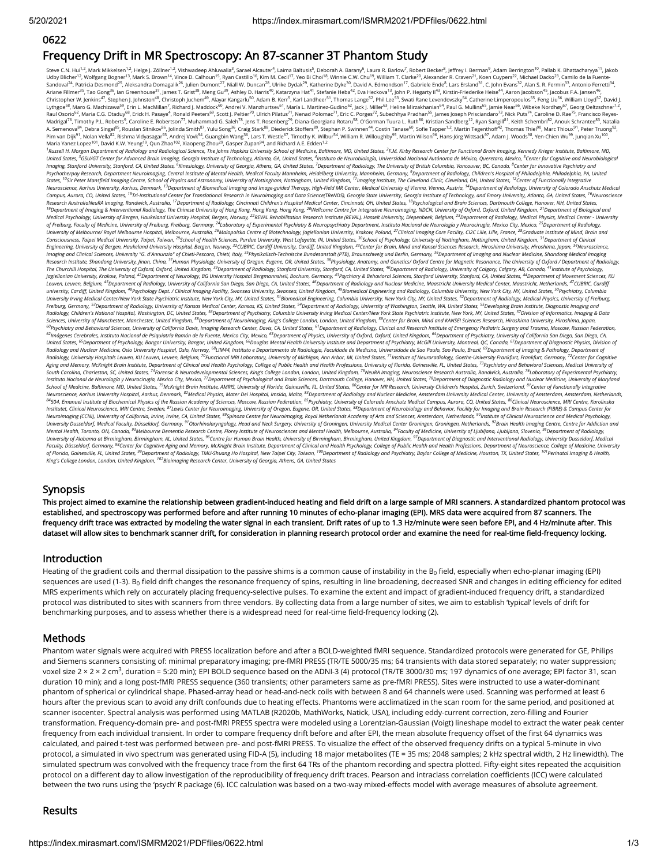#### 0622

# Frequency Drift in MR Spectroscopy: An 87-scanner 3T Phantom Study

Steve C.N. Hui<sup>1.2</sup>, Mark Mikkelsen<sup>1.2</sup>, Helge J. Zöllner<sup>1.2</sup>, Vishwadeep Ahluwalia<sup>3</sup>, Sarael Alcauter<sup>4</sup>, Laima Baltusis<sup>5</sup>, Deborah A. Barany<sup>6</sup>, Laura R. Barlow<sup>7</sup>, Robert Becker<sup>8</sup>, Jeffrey I. Berman<sup>9</sup>, Adam Berrin Udby Blicher<sup>12</sup>, Wolfgang Bogner<sup>13</sup>, Mark S. Brown<sup>14</sup>, Vince D. Calhoun<sup>15</sup>, Ryan Castillo<sup>16</sup>, Kim M. Cecil<sup>17</sup>, Yeo Bi Choi<sup>18</sup>, Winnie C.W. Chu<sup>19</sup>, William T. Clarke<sup>20</sup>, Alexander R. Craven<sup>21</sup>, Koen Cuypers<sup>22</sup>, M Ariane Fillmer<sup>29</sup>, Tao Gong"9, Ian Greenhouse"/ ,James T. Grist<sup>sa</sup>, Meng Gu<sup>s?</sup>, Ashley D. Harris<sup>ev</sup>, Katarzyna Hat<sup>4</sup>', Stefanie Heba<sup>44</sup>, Eva Heckova'?,John P. Hegarty II<sup>4</sup>, Kirstin-Friederike Heise"! Aaron Jacobson Raul Osorio<sup>62</sup>, Maria C.G. Otaduy<sup>68</sup>, Erick H. Pasaye<sup>4</sup>, Ronald Peeters<sup>69</sup>, Scott J. Peltier<sup>70</sup>, Ulrich Pilatus<sup>71</sup>, Nenad Polomac<sup>71</sup>, Eric C. Porges<sup>72</sup>, Subechhya Pradhan<sup>55</sup>, James Joseph Prisciandaro<sup>73</sup>, Nick Pu A. Semenova<sup>84</sup>, Debra Singel<sup>85</sup>, Rouslan Sitnikov<sup>86</sup>, Jolinda Smith<sup>87</sup>, Yulu Song<sup>36</sup>, Craig Stark<sup>88</sup>, Diederick Stoffers<sup>89</sup>, Stephan P. Swinnen<sup>44</sup>, Costin Tanase<sup>60</sup>, Sofe Tapper<sup>12</sup>, Martin Tegenthoff<sup>42</sup>, Thomas illmer<sup>35</sup>, Tao Gong<sup>36</sup>, Ian Greenhouse<sup>37</sup>, James T. Grist<sup>38</sup>, Meng Gu<sup>39</sup>, Ashley D. Harris<sup>40</sup>, Katarzyna Hat<sup>41</sup>, Stefanie Heba<sup>42</sup>, Eva Heckova<sup>13</sup>, John P. Hegarty Il<sup>43</sup>, Kirstin-Friederike Heise<sup>44</sup>, Aaron Jacobs

Maria Yanez Lopez<sup>101</sup>, David K.W. Yeung<sup>19</sup>, Qun Zhao<sup>102</sup>, Xiaopeng Zhou<sup>29</sup>, Gasper Zupan<sup>94</sup>, and Richard A.E. Edden<sup>1.2</sup><br><sup>1</sup>Russell H. Morgan Department of Radiologival Andiological Science, The Johns Hopkins Universi United States, "GSU/GT Center for Advanced Brain Imaging, Georgia Institute of Technology, Atlanta, GA, United States, "Instituto de Neurobiologia, Universidad Nacional Autónoma de México, Queretaro, Mexico, <sup>3</sup>Center for States, <sup>10</sup>Sir Peter Mansfield Imaging Centre, School of Physics and Astronomy, University of Nottingham, Nottingham, United Kingdom, <sup>11</sup>Imaging Institute, The Cleveland Clinic, Cleveland, OH, United States, <sup>12</sup>Center o Campus, Aurora, CO, United States, <sup>15</sup>Tr-institutional Center for Translational Research in Neuroimaging and Data Science(TReNDS), Georgia State University, Gorgia Institute of Technology, and Emory University, Atlanta, G Research Institute, Shandong University, Jinan, China, <sup>3</sup> Human Physiology, University of Oregon, Eugene, OR, United States, <sup>30</sup>Physiology, Anatomy, and Genetics/ Oxford Centre for Magnetic Resonance, The University of O Radiology, Children's National Hospital, Washington, DC, United States, <sup>so</sup>Department of Psychiatry, Columbia University Iving Medical Center/New York State Psychiatric Institute, New York, NY, United States, <sup>s/</sup>Division instituto Nacional de Neurologiay Neurolayida Mexico City, Mexico City, Mexico Channel de Schoological and Brain Sciences, Dartmouth College, Hanover, NH, United States, "Department of Diagnostic Radiology and Nuclear Meta School of Medicine, Baltimore, MD, United States, <sup>23</sup>McKinght Brain Institute, AMRIS, University of Florida, Gainesville, FL, United States, <sup>su</sup>Center for MR Research, University Children's Hospital, Zurich, Switzerland, *King's College London, London, United Kingdom, Bioimaging Research Center, University of Georgia, Athens, GA, United States* <sup>3</sup>GSU/GT Center for Advanced Brain Imaging, Georgia Institute of Technology, Atlanta, GA, United States, <sup>4</sup>Instituto de Neurobiología, Universidad Nacional Autónoma de México, Queretaro, Mexico, <sup>5</sup><br>Granacch Departion CA Campus, Aurora, CO, United States, <sup>15</sup>Tri-Institutional Center for Translational Research in Neuroimaging and Data Science(TReNDS), Georgia State University, Georgia Institute of Technology, and Emory University, Atlanta, ral, The University of Oxford, Oxford, United Kingdom, <sup>39</sup>Department of Radiology, Stanford University, Stanford, CA, United States, <sup>40</sup>Department of Radiology, University of Calgary, Calgary, AB, Canada, <sup>41</sup> Institute Radiology, Children's National Hospital, Washington, DC, United States, <sup>55</sup>Department of Psychiatry, Columbia University Iving Medical Center/New York State Psychiatric Institute, New York, NY, United States, <sup>57</sup>Duvision *Neuroscience, Aarhus University Hospital, Aarhus, Denmark, <sup>82</sup>Medical Physics, Mater Dei Hospital, Insida, Malta, <sup>83</sup>Department of Radiology and Nuclear Medicine, Amsterdam University Medical Center, University of Amste* 

### Synopsis

This project aimed to examine the relationship between gradient-induced heating and field drift on a large sample of MRI scanners. A standardized phantom protocol was established, and spectroscopy was performed before and after running 10 minutes of echo-planar imaging (EPI). MRS data were acquired from 87 scanners. The frequency drift trace was extracted by modeling the water signal in each transient. Drift rates of up to 1.3 Hz/minute were seen before EPI, and 4 Hz/minute after. This dataset will allow sites to benchmark scanner drift, for consideration in planning research protocol order and examine the need for real-time field-frequency locking.

#### Introduction

Heating of the gradient coils and thermal dissipation to the passive shims is a common cause of instability in the B $_{\rm 0}$  field, especially when echo-planar imaging (EPI) sequences are used (1-3). B<sub>0</sub> field drift changes the resonance frequency of spins, resulting in line broadening, decreased SNR and changes in editing efficiency for edited MRS experiments which rely on accurately placing frequency-selective pulses. To examine the extent and impact of gradient-induced frequency drift, a standardized protocol was distributed to sites with scanners from three vendors. By collecting data from a large number of sites, we aim to establish 'typical' levels of drift for benchmarking purposes, and to assess whether there is a widespread need for real-time field-frequency locking (2).

### Methods

Phantom water signals were acquired with PRESS localization before and after a BOLD-weighted fMRI sequence. Standardized protocols were generated for GE, Philips and Siemens scanners consisting of: minimal preparatory imaging; pre-fMRI PRESS (TR/TE 5000/35 ms; 64 transients with data stored separately; no water suppression; voxel size 2 × 2 × 2 cm<sup>3</sup>, duration = 5:20 min); EPI BOLD sequence based on the ADNI-3 (4) protocol (TR/TE 3000/30 ms; 197 dynamics of one average; EPI factor 31, scan duration 10 min); and a long post-fMRI PRESS sequence (360 transients; other parameters same as pre-fMRI PRESS). Sites were instructed to use a water-dominant phantom of spherical or cylindrical shape. Phased-array head or head-and-neck coils with between 8 and 64 channels were used. Scanning was performed at least 6 hours after the previous scan to avoid any drift confounds due to heating effects. Phantoms were acclimatized in the scan room for the same period, and positioned at scanner isocenter. Spectral analysis was performed using MATLAB (R2020b, MathWorks, Natick, USA), including eddy-current correction, zero-filling and Fourier transformation. Frequency-domain pre- and post-fMRI PRESS spectra were modeled using a Lorentzian-Gaussian (Voigt) lineshape model to extract the water peak center frequency from each individual transient. In order to compare frequency drift before and after EPI, the mean absolute frequency offset of the first 64 dynamics was calculated, and paired t-test was performed between pre- and post-fMRI PRESS. To visualize the effect of the observed frequency drifts on a typical 5-minute in vivo protocol, a simulated in vivo spectrum was generated using FID-A (5), including 18 major metabolites (TE = 35 ms; 2048 samples; 2 kHz spectral width, 2 Hz linewidth). The simulated spectrum was convolved with the frequency trace from the first 64 TRs of the phantom recording and spectra plotted. Fifty-eight sites repeated the acquisition protocol on a different day to allow investigation of the reproducibility of frequency drift traces. Pearson and intraclass correlation coefficients (ICC) were calculated between the two runs using the 'psych' R package (6). ICC calculation was based on a two-way mixed-effects model with average measures of absolute agreement.

## Results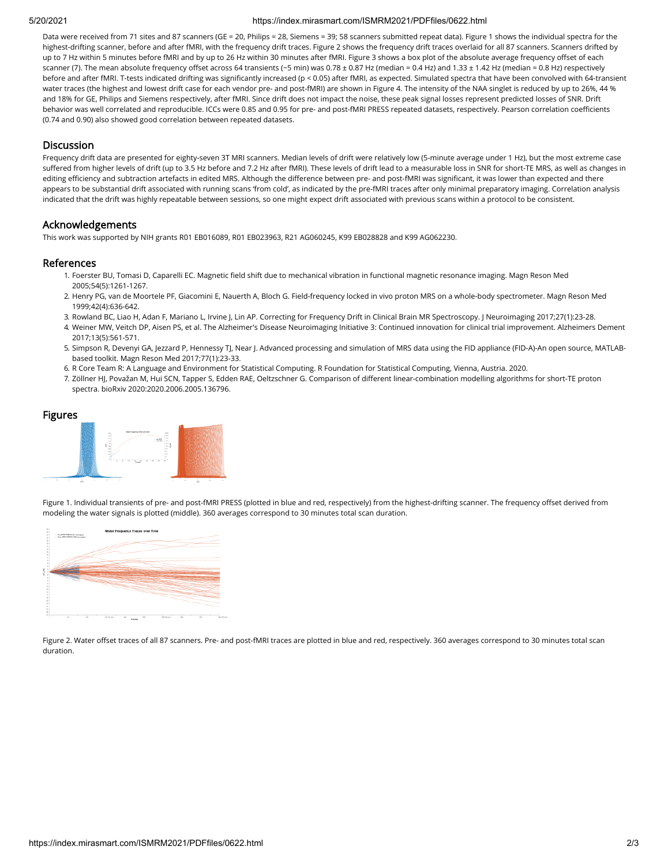#### 5/20/2021 https://index.mirasmart.com/ISMRM2021/PDFfiles/0622.html

Data were received from 71 sites and 87 scanners (GE = 20, Philips = 28, Siemens = 39; 58 scanners submitted repeat data). Figure 1 shows the individual spectra for the highest-drifting scanner, before and after fMRI, with the frequency drift traces. Figure 2 shows the frequency drift traces overlaid for all 87 scanners. Scanners drifted by up to 7 Hz within 5 minutes before fMRI and by up to 26 Hz within 30 minutes after fMRI. Figure 3 shows a box plot of the absolute average frequency offset of each scanner (7). The mean absolute frequency offset across 64 transients (~5 min) was 0.78 ± 0.87 Hz (median = 0.4 Hz) and 1.33 ± 1.42 Hz (median = 0.8 Hz) respectively before and after fMRI. T-tests indicated drifting was significantly increased (p < 0.05) after fMRI, as expected. Simulated spectra that have been convolved with 64-transient water traces (the highest and lowest drift case for each vendor pre- and post-fMRI) are shown in Figure 4. The intensity of the NAA singlet is reduced by up to 26%, 44 % and 18% for GE, Philips and Siemens respectively, after fMRI. Since drift does not impact the noise, these peak signal losses represent predicted losses of SNR. Drift behavior was well correlated and reproducible. ICCs were 0.85 and 0.95 for pre- and post-fMRI PRESS repeated datasets, respectively. Pearson correlation coefficients (0.74 and 0.90) also showed good correlation between repeated datasets.

## **Discussion**

Frequency drift data are presented for eighty-seven 3T MRI scanners. Median levels of drift were relatively low (5-minute average under 1 Hz), but the most extreme case suffered from higher levels of drift (up to 3.5 Hz before and 7.2 Hz after fMRI). These levels of drift lead to a measurable loss in SNR for short-TE MRS, as well as changes in editing efficiency and subtraction artefacts in edited MRS. Although the difference between pre- and post-fMRI was significant, it was lower than expected and there appears to be substantial drift associated with running scans 'from cold', as indicated by the pre-fMRI traces after only minimal preparatory imaging. Correlation analysis indicated that the drift was highly repeatable between sessions, so one might expect drift associated with previous scans within a protocol to be consistent.

# Acknowledgements

This work was supported by NIH grants R01 EB016089, R01 EB023963, R21 AG060245, K99 EB028828 and K99 AG062230.

## References

- 1. Foerster BU, Tomasi D, Caparelli EC. Magnetic field shift due to mechanical vibration in functional magnetic resonance imaging. Magn Reson Med 2005;54(5):1261-1267.
- 2. Henry PG, van de Moortele PF, Giacomini E, Nauerth A, Bloch G. Field-frequency locked in vivo proton MRS on a whole-body spectrometer. Magn Reson Med 1999;42(4):636-642.
- 3. Rowland BC, Liao H, Adan F, Mariano L, Irvine J, Lin AP. Correcting for Frequency Drift in Clinical Brain MR Spectroscopy. J Neuroimaging 2017;27(1):23-28.
- 4. Weiner MW, Veitch DP, Aisen PS, et al. The Alzheimer's Disease Neuroimaging Initiative 3: Continued innovation for clinical trial improvement. Alzheimers Dement 2017;13(5):561-571.
- 5. Simpson R, Devenyi GA, Jezzard P, Hennessy TJ, Near J. Advanced processing and simulation of MRS data using the FID appliance (FID-A)-An open source, MATLABbased toolkit. Magn Reson Med 2017;77(1):23-33.
- 6. R Core Team R: A Language and Environment for Statistical Computing. R Foundation for Statistical Computing, Vienna, Austria. 2020.
- 7. Zöllner HJ, Považan M, Hui SCN, Tapper S, Edden RAE, Oeltzschner G. Comparison of different linear-combination modelling algorithms for short-TE proton spectra. bioRxiv 2020:2020.2006.2005.136796.



Figure 1. Individual transients of pre- and post-fMRI PRESS (plotted in blue and red, respectively) from the highest-drifting scanner. The frequency offset derived from modeling the water signals is plotted (middle). 360 averages correspond to 30 minutes total scan duration.



Figure 2. Water offset traces of all 87 scanners. Pre- and post-fMRI traces are plotted in blue and red, respectively. 360 averages correspond to 30 minutes total scan duration.